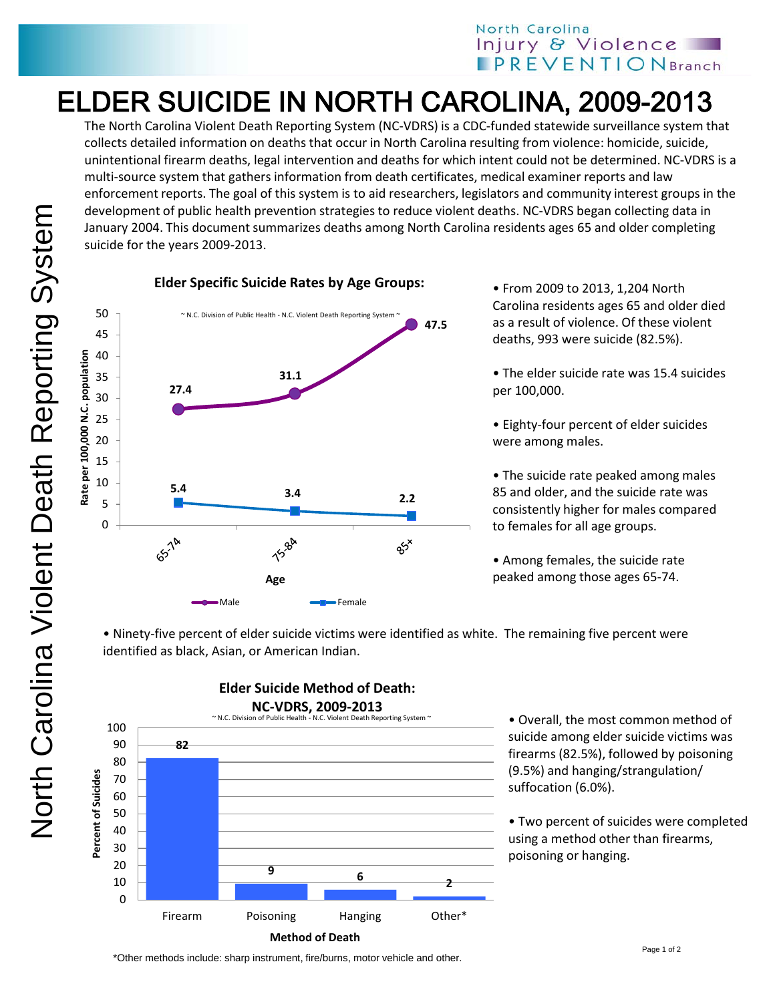## North Carolina Injury & Violence **IPREVENTIONBranch**

## ELDER SUICIDE IN NORTH CAROLINA, 2009-2013

The North Carolina Violent Death Reporting System (NC-VDRS) is a CDC-funded statewide surveillance system that collects detailed information on deaths that occur in North Carolina resulting from violence: homicide, suicide, unintentional firearm deaths, legal intervention and deaths for which intent could not be determined. NC-VDRS is a multi-source system that gathers information from death certificates, medical examiner reports and law enforcement reports. The goal of this system is to aid researchers, legislators and community interest groups in the development of public health prevention strategies to reduce violent deaths. NC-VDRS began collecting data in January 2004. This document summarizes deaths among North Carolina residents ages 65 and older completing suicide for the years 2009-2013.





• From 2009 to 2013, 1,204 North Carolina residents ages 65 and older died as a result of violence. Of these violent deaths, 993 were suicide (82.5%).

• The elder suicide rate was 15.4 suicides per 100,000.

• Eighty-four percent of elder suicides were among males.

• The suicide rate peaked among males 85 and older, and the suicide rate was consistently higher for males compared to females for all age groups.

• Among females, the suicide rate peaked among those ages 65-74.

• Ninety-five percent of elder suicide victims were identified as white. The remaining five percent were identified as black, Asian, or American Indian.



**Elder Suicide Method of Death:** 

• Overall, the most common method of suicide among elder suicide victims was firearms (82.5%), followed by poisoning (9.5%) and hanging/strangulation/ suffocation (6.0%).

• Two percent of suicides were completed using a method other than firearms, poisoning or hanging.

\*Other methods include: sharp instrument, fire/burns, motor vehicle and other.